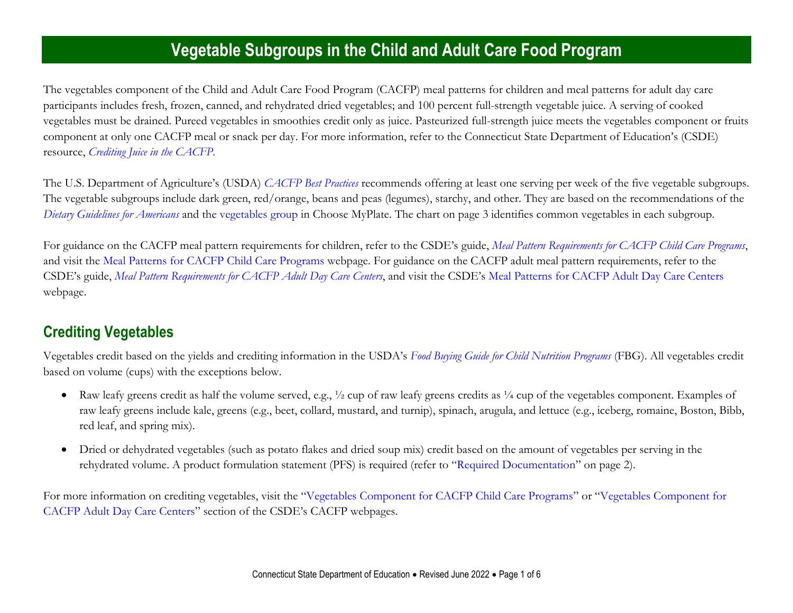## **Vegetable Subgroups in the Child and Adult Care Food Program**

The vegetables component of the Child and Adult Care Food Program (CACFP) meal patterns for children and meal patterns for adult day care participants includes fresh, frozen, canned, and rehydrated dried vegetables; and 100 percent full-strength vegetable juice. A serving of cooked vegetables must be drained. Pureed vegetables in smoothies credit only as juice. Pasteurized full-strength juice meets the vegetables component or fruits component at only one CACFP meal or snack per day. For more information, refer to the Connecticut State Department of Education's (CSDE) resource, *[Crediting Juice in the CACFP.](https://portal.ct.gov/-/media/SDE/Nutrition/CACFP/Crediting/Credit_Juice_CACFP.pdf)*

The U.S. Department of Agriculture's (USDA) *[CACFP Best Practices](https://fns-prod.azureedge.us/sites/default/files/cacfp/CACFP_factBP.pdf)* recommends offering at least one serving per week of the five vegetable subgroups*.*  The vegetable subgroups include dark green, red/orange, beans and peas (legumes), starchy, and other. They are based on the recommendations of the *[Dietary Guidelines for Americans](https://health.gov/DietaryGuidelines/)* and the [vegetables group](https://www.choosemyplate.gov/vegetables) in Choose MyPlate. The chart on page 3 identifies common vegetables in each subgroup.

For guidance on the CACFP meal pattern requirements for children, refer to the CSDE's guide, *[Meal Pattern Requirements for CACFP Child Care Programs](https://portal.ct.gov/-/media/SDE/Nutrition/CACFP/MealPattern/Guide_CACFP_Meal_Patterns.pdf)*, and visit the [Meal Patterns for CACFP Child Care Programs](https://portal.ct.gov/SDE/Nutrition/Meal-Patterns-CACFP-Child-Care-Programs) webpage. For guidance on the CACFP adult meal pattern requirements, refer to the CSDE's guide, *[Meal Pattern Requirements for CACFP Adult Day Care Centers](https://portal.ct.gov/-/media/SDE/Nutrition/CACFP/MealPattern/Guide_CACFP_Meal_Patterns_Adults.pdf)*, and visit the CSDE's [Meal Patterns for CACFP Adult Day Care Centers](https://portal.ct.gov/SDE/Nutrition/Meal-Patterns-CACFP-Adult-Centers) webpage.

## **Crediting Vegetables**

Vegetables credit based on the yields and crediting information in the USDA's *[Food Buying Guide for Child Nutrition Programs](https://www.fns.usda.gov/tn/food-buying-guide-for-child-nutrition-programs)* (FBG). All vegetables credit based on volume (cups) with the exceptions below.

- Raw leafy greens credit as half the volume served, e.g.,  $\frac{1}{2}$  cup of raw leafy greens credits as  $\frac{1}{4}$  cup of the vegetables component. Examples of raw leafy greens include kale, greens (e.g., beet, collard, mustard, and turnip), spinach, arugula, and lettuce (e.g., iceberg, romaine, Boston, Bibb, red leaf, and spring mix).
- Dried or dehydrated vegetables (such as potato flakes and dried soup mix) credit based on the amount of vegetables per serving in the rehydrated volume. A product formulation statement (PFS) is required (refer to "[Required Documentation](#page-1-0)" on page 2).

For more information on crediting vegetables, visit the "[Vegetables Component for CACFP Child Care Programs](https://portal.ct.gov/SDE/Nutrition/Crediting-Foods-in-CACFP-Child-Care-Programs/Documents#Vegetables)" or "[Vegetables Component for](https://portal.ct.gov/SDE/Nutrition/Crediting-Foods-in-CACFP-Adult-Day-Care-Centers/Documents#Vegetables)  [CACFP Adult Day Care Centers](https://portal.ct.gov/SDE/Nutrition/Crediting-Foods-in-CACFP-Adult-Day-Care-Centers/Documents#Vegetables)" section of the CSDE's CACFP webpages.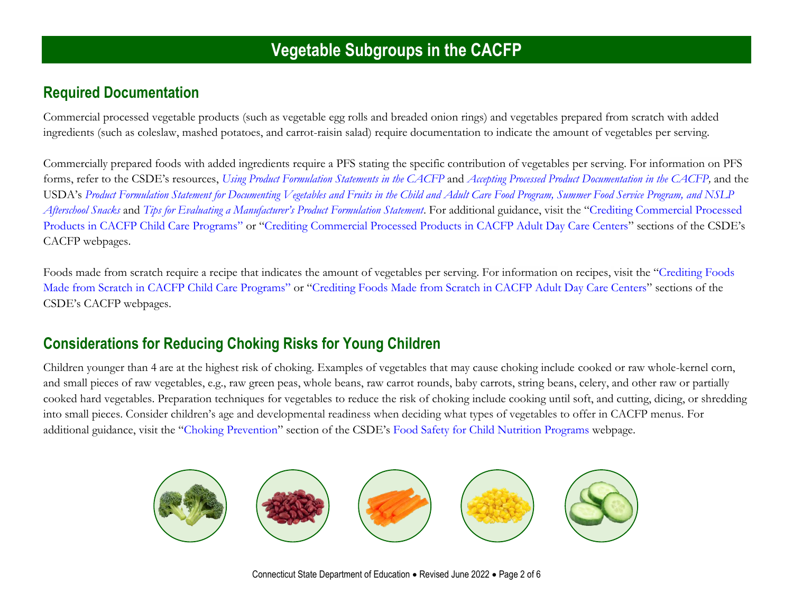#### <span id="page-1-0"></span>**Required Documentation**

Commercial processed vegetable products (such as vegetable egg rolls and breaded onion rings) and vegetables prepared from scratch with added ingredients (such as coleslaw, mashed potatoes, and carrot-raisin salad) require documentation to indicate the amount of vegetables per serving.

Commercially prepared foods with added ingredients require a PFS stating the specific contribution of vegetables per serving. For information on PFS forms, refer to the CSDE's resources, *[Using Product Formulation Statements in the CACFP](http://portal.ct.gov/-/media/SDE/Nutrition/CACFP/Crediting/Using_Product_Formulation_Statements_CACFP.pdf)* and *[Accepting Processed Product Documentation in the CACFP,](https://portal.ct.gov/-/media/SDE/Nutrition/CACFP/Crediting/Accepting_Processed_Product_Documentation_CACFP.pdf)* and the USDA's *[Product Formulation Statement for Documenting Vegetables and Fruits in the Child and Adult Care Food Program, Summer Food Service Program, and NSLP](https://fns-prod.azureedge.net/sites/default/files/resource-files/PFS_Document_Total_Veg_Fruits.pdf)  [Afterschool Snacks](https://fns-prod.azureedge.net/sites/default/files/resource-files/PFS_Document_Total_Veg_Fruits.pdf)* and *[Tips for Evaluating a Manufacturer's Product Formulation Statement](https://fns-prod.azureedge.net/sites/default/files/cn/manufacturerPFStipsheet.pdf)*. For additional guidance, visit the "[Crediting Commercial Processed](https://portal.ct.gov/SDE/Nutrition/Crediting-Foods-in-CACFP-Child-Care-Programs/Documents#CommercialProducts)  [Products in CACFP Child Care Programs](https://portal.ct.gov/SDE/Nutrition/Crediting-Foods-in-CACFP-Child-Care-Programs/Documents#CommercialProducts)" or "[Crediting Commercial Processed Products in CACFP Adult Day Care Centers](https://portal.ct.gov/SDE/Nutrition/Crediting-Foods-in-CACFP-Adult-Day-Care-Centers/Documents#CommercialProducts)" sections of the CSDE's CACFP webpages.

Foods made from scratch require a recipe that indicates the amount of vegetables per serving. For information on recipes, visit the "[Crediting Foods](https://portal.ct.gov/SDE/Nutrition/Crediting-Foods-in-CACFP-Child-Care-Programs/Documents#ScratchFoods)  Made from Scratch [in CACFP Child Care Programs](https://portal.ct.gov/SDE/Nutrition/Crediting-Foods-in-CACFP-Child-Care-Programs/Documents#ScratchFoods)" or "[Crediting Foods Made from Scratch in CACFP Adult Day Care Centers](https://portal.ct.gov/SDE/Nutrition/Crediting-Foods-in-CACFP-Adult-Day-Care-Centers/Documents#ScratchFoods)" sections of the CSDE's CACFP webpages.

#### **Considerations for Reducing Choking Risks for Young Children**

Children younger than 4 are at the highest risk of choking. Examples of vegetables that may cause choking include cooked or raw whole-kernel corn, and small pieces of raw vegetables, e.g., raw green peas, whole beans, raw carrot rounds, baby carrots, string beans, celery, and other raw or partially cooked hard vegetables. Preparation techniques for vegetables to reduce the risk of choking include cooking until soft, and cutting, dicing, or shredding into small pieces. Consider children's age and developmental readiness when deciding what types of vegetables to offer in CACFP menus. For additional guidance, visit the "[Choking Prevention](https://portal.ct.gov/SDE/Nutrition/Food-Safety-for-Child-Nutrition-Programs/Documents#ChokingPrevention)" section of the CSDE's [Food Safety for Child Nutrition Programs](https://portal.ct.gov/SDE/Nutrition/Food-Safety-for-Child-Nutrition-Programs) webpage.



Connecticut State Department of Education • Revised June 2022 • Page 2 of 6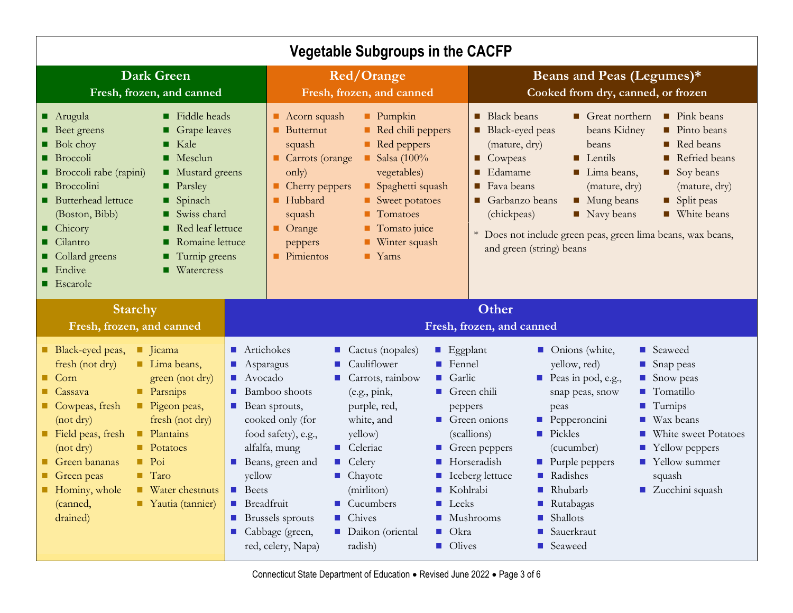| <b>Vegetable Subgroups in the CACFP</b>                                                                                                                                                                                                                                                                                                                                                                                                                                  |                                                                                                                                                                                                                                                                                                                                                                                                                                                                                                                                                                                                                                                                                                                                                                                                                                                                                            |                                                                                                                                                                                                                                                                                                                                                                                                                                                                                                                                                                                                                            |  |
|--------------------------------------------------------------------------------------------------------------------------------------------------------------------------------------------------------------------------------------------------------------------------------------------------------------------------------------------------------------------------------------------------------------------------------------------------------------------------|--------------------------------------------------------------------------------------------------------------------------------------------------------------------------------------------------------------------------------------------------------------------------------------------------------------------------------------------------------------------------------------------------------------------------------------------------------------------------------------------------------------------------------------------------------------------------------------------------------------------------------------------------------------------------------------------------------------------------------------------------------------------------------------------------------------------------------------------------------------------------------------------|----------------------------------------------------------------------------------------------------------------------------------------------------------------------------------------------------------------------------------------------------------------------------------------------------------------------------------------------------------------------------------------------------------------------------------------------------------------------------------------------------------------------------------------------------------------------------------------------------------------------------|--|
| <b>Dark Green</b><br>Fresh, frozen, and canned                                                                                                                                                                                                                                                                                                                                                                                                                           | <b>Red/Orange</b><br>Fresh, frozen, and canned                                                                                                                                                                                                                                                                                                                                                                                                                                                                                                                                                                                                                                                                                                                                                                                                                                             | Beans and Peas (Legumes)*<br>Cooked from dry, canned, or frozen                                                                                                                                                                                                                                                                                                                                                                                                                                                                                                                                                            |  |
| Fiddle heads<br>■ Arugula<br><b>Beet greens</b><br>Grape leaves<br>Kale<br><b>Bok choy</b><br>п<br><b>Broccoli</b><br>Mesclun<br>▪<br>Broccoli rabe (rapini)<br>Mustard greens<br><b>Broccolini</b><br><b>Parsley</b><br><b>Butterhead lettuce</b><br>■ Spinach<br>(Boston, Bibb)<br>■ Swiss chard<br>■ Chicory<br>Red leaf lettuce<br>П<br>■ Cilantro<br>Romaine lettuce<br>Turnip greens<br>■ Collard greens<br><b>Endive</b><br>Watercress<br>$\blacksquare$ Escarole | <b>Pumpkin</b><br><b>Acorn</b> squash<br>Red chili peppers<br>$\blacksquare$ Butternut<br>Red peppers<br>squash<br>$\blacksquare$ Salsa (100%<br><b>Carrots</b> (orange<br>vegetables)<br>only)<br>Spaghetti squash<br>$\blacksquare$ Cherry peppers<br>$\blacksquare$ Hubbard<br>Sweet potatoes<br>$\blacksquare$ Tomatoes<br>squash<br><b>Orange</b><br>$\blacksquare$ Tomato juice<br><b>Winter squash</b><br>peppers<br>$\blacksquare$ Yams<br>$\blacksquare$ Pimientos                                                                                                                                                                                                                                                                                                                                                                                                                | <b>Black beans</b><br>п<br>Great northern<br>$\blacksquare$ Pink beans<br>beans Kidney<br>Pinto beans<br>■ Black-eyed peas<br>(mature, dry)<br>beans<br>$\blacksquare$ Red beans<br><b>Cowpeas</b><br>Refried beans<br>$\blacksquare$ Lentils<br>Edamame<br>п<br>Lima beans,<br>Soy beans<br>$\blacksquare$ Fava beans<br>(mature, dry)<br>(mature, dry)<br>Garbanzo beans<br><b>Mung beans</b><br>Split peas<br>(chickpeas)<br>Navy beans<br>■ White beans<br>* Does not include green peas, green lima beans, wax beans,<br>and green (string) beans                                                                     |  |
| <b>Starchy</b><br>Fresh, frozen, and canned                                                                                                                                                                                                                                                                                                                                                                                                                              |                                                                                                                                                                                                                                                                                                                                                                                                                                                                                                                                                                                                                                                                                                                                                                                                                                                                                            | Other<br>Fresh, frozen, and canned                                                                                                                                                                                                                                                                                                                                                                                                                                                                                                                                                                                         |  |
| Black-eyed peas,<br>lacama<br>fresh (not dry)<br>Lima beans,<br>Corn<br>green (not dry)<br><b>Parsnips</b><br>Cassava<br><b>Cowpeas</b> , fresh<br>Pigeon peas,<br>$(not$ dry)<br>fresh (not dry)<br>Field peas, fresh<br>$\blacksquare$ Plantains<br>(not dry)<br><b>Potatoes</b><br>Green bananas<br>$\blacksquare$ Poi<br>Green peas<br>$\blacksquare$ Taro<br>■ Water chestnuts<br>Hominy, whole<br>Vautia (tannier)<br>(canned,<br>drained)<br><b>COL</b>           | $\blacksquare$ Artichokes<br>Cactus (nopales)<br>$\blacksquare$ Eggplant<br>Cauliflower<br>$\blacksquare$ Fennel<br>$\blacksquare$ Asparagus<br>$\blacksquare$ Avocado<br>$\blacksquare$ Carrots, rainbow<br>Garlic<br><b>College</b><br>Bamboo shoots<br>(e.g., pink,<br>$\blacksquare$ Green chili<br><b>Bean sprouts,</b><br>purple, red,<br>peppers<br>cooked only (for<br>white, and<br>food safety), e.g.,<br>yellow)<br>alfalfa, mung<br>$\blacksquare$ Celeriac<br>Beans, green and<br>$\blacksquare$ Celery<br>yellow<br>$\blacksquare$ Chayote<br>$\mathcal{L}_{\mathcal{A}}$<br>$\blacksquare$ Beets<br><b>Kohlrabi</b><br>(mirliton)<br>$\blacksquare$ Breadfruit<br>Leeks<br>$\blacksquare$ Cucumbers<br>$\blacksquare$ Chives<br>Brussels sprouts<br>Cabbage (green,<br>Daikon (oriental<br>Okra<br><b>College</b><br>red, celery, Napa)<br>$\blacksquare$ Olives<br>radish) | • Onions (white,<br>■ Seaweed<br>yellow, red)<br>Snap peas<br>Peas in pod, e.g.,<br>Snow peas<br>$\blacksquare$ Tomatillo<br>snap peas, snow<br>Turnips<br>peas<br>$\blacksquare$ Green onions<br>Pepperoncini<br>$\blacksquare$ Wax beans<br><b>Pickles</b><br>(scallions)<br>White sweet Potatoes<br>$\blacksquare$ Green peppers<br>(cucumber)<br>• Yellow peppers<br>Horseradish<br>$\blacksquare$ Purple peppers<br>■ Yellow summer<br>Iceberg lettuce<br><b>Radishes</b><br>squash<br>■ Zucchini squash<br>$\blacksquare$ Rhubarb<br><b>Rutabagas</b><br><b>B</b> Shallots<br>Mushrooms<br>■ Sauerkraut<br>■ Seaweed |  |

Connecticut State Department of Education • Revised June 2022 • Page 3 of 6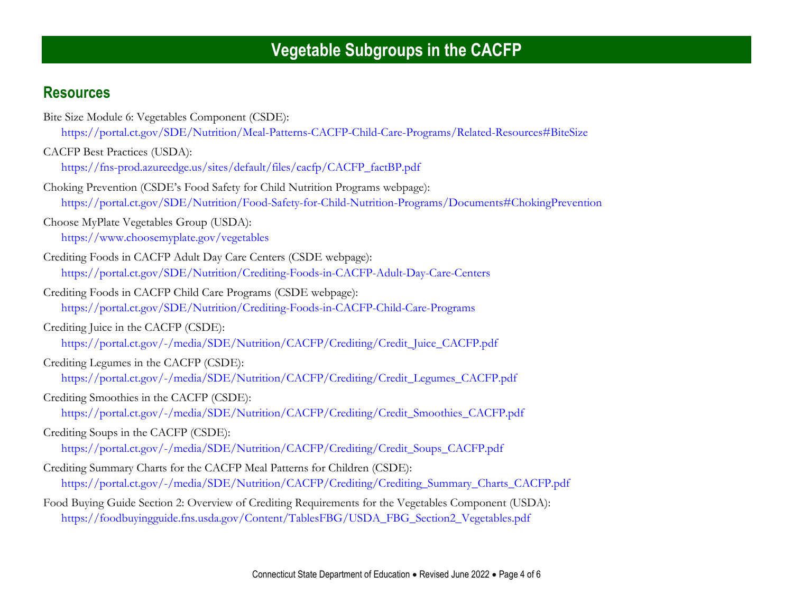## **Resources**

| Bite Size Module 6: Vegetables Component (CSDE):                                                         |  |
|----------------------------------------------------------------------------------------------------------|--|
| https://portal.ct.gov/SDE/Nutrition/Meal-Patterns-CACFP-Child-Care-Programs/Related-Resources#BiteSize   |  |
| CACFP Best Practices (USDA):                                                                             |  |
| https://fns-prod.azureedge.us/sites/default/files/cacfp/CACFP_factBP.pdf                                 |  |
| Choking Prevention (CSDE's Food Safety for Child Nutrition Programs webpage):                            |  |
| https://portal.ct.gov/SDE/Nutrition/Food-Safety-for-Child-Nutrition-Programs/Documents#ChokingPrevention |  |
| Choose MyPlate Vegetables Group (USDA):                                                                  |  |
| https://www.choosemyplate.gov/vegetables                                                                 |  |
| Crediting Foods in CACFP Adult Day Care Centers (CSDE webpage):                                          |  |
| https://portal.ct.gov/SDE/Nutrition/Crediting-Foods-in-CACFP-Adult-Day-Care-Centers                      |  |
| Crediting Foods in CACFP Child Care Programs (CSDE webpage):                                             |  |
| https://portal.ct.gov/SDE/Nutrition/Crediting-Foods-in-CACFP-Child-Care-Programs                         |  |
| Crediting Juice in the CACFP (CSDE):                                                                     |  |
| https://portal.ct.gov/-/media/SDE/Nutrition/CACFP/Crediting/Credit_Juice_CACFP.pdf                       |  |
| Crediting Legumes in the CACFP (CSDE):                                                                   |  |
| https://portal.ct.gov/-/media/SDE/Nutrition/CACFP/Crediting/Credit_Legumes_CACFP.pdf                     |  |
| Crediting Smoothies in the CACFP (CSDE):                                                                 |  |
| https://portal.ct.gov/-/media/SDE/Nutrition/CACFP/Crediting/Credit_Smoothies_CACFP.pdf                   |  |
| Crediting Soups in the CACFP (CSDE):                                                                     |  |
| https://portal.ct.gov/-/media/SDE/Nutrition/CACFP/Crediting/Credit_Soups_CACFP.pdf                       |  |
| Crediting Summary Charts for the CACFP Meal Patterns for Children (CSDE):                                |  |
| https://portal.ct.gov/-/media/SDE/Nutrition/CACFP/Crediting/Crediting_Summary_Charts_CACFP.pdf           |  |
| Food Buying Guide Section 2: Overview of Crediting Requirements for the Vegetables Component (USDA):     |  |
| https://foodbuyingguide.fns.usda.gov/Content/TablesFBG/USDA_FBG_Section2_Vegetables.pdf                  |  |
|                                                                                                          |  |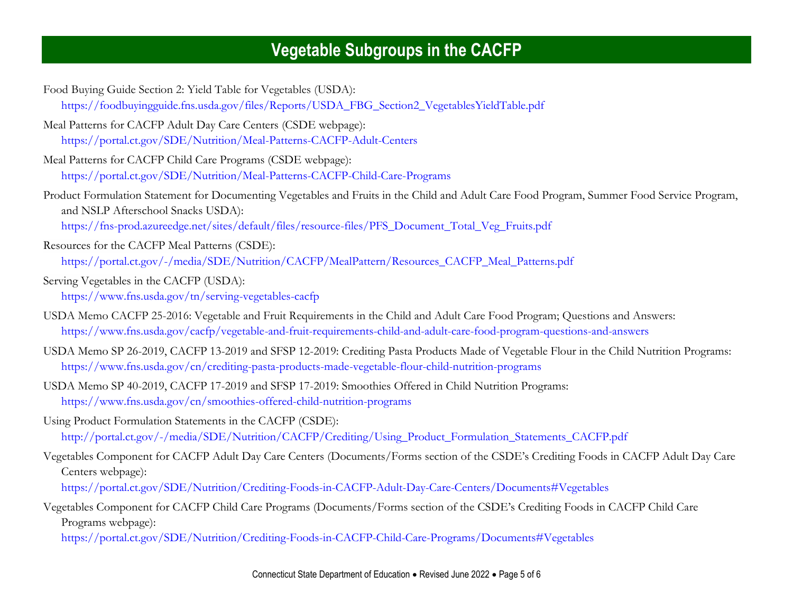Food Buying Guide Section 2: Yield Table for Vegetables (USDA): [https://foodbuyingguide.fns.usda.gov/files/Reports/USDA\\_FBG\\_Section2\\_VegetablesYieldTable.pdf](https://foodbuyingguide.fns.usda.gov/files/Reports/USDA_FBG_Section2_VegetablesYieldTable.pdf) Meal Patterns for CACFP Adult Day Care Centers (CSDE webpage): [https://portal.ct.gov/SDE/Nutrition/Meal-Patterns-CACFP-Adult-Centers](http://portal.ct.gov/SDE/Nutrition/Meal-Patterns-CACFP-Adult-Centers) Meal Patterns for CACFP Child Care Programs (CSDE webpage): [https://portal.ct.gov/SDE/Nutrition/Meal-Patterns-CACFP-Child-Care-Programs](http://portal.ct.gov/SDE/Nutrition/Meal-Patterns-CACFP-Child-Care-Programs) Product Formulation Statement for Documenting Vegetables and Fruits in the Child and Adult Care Food Program, Summer Food Service Program, and NSLP Afterschool Snacks USDA): [https://fns-prod.azureedge.net/sites/default/files/resource-files/PFS\\_Document\\_Total\\_Veg\\_Fruits.pdf](https://fns-prod.azureedge.net/sites/default/files/resource-files/PFS_Document_Total_Veg_Fruits.pdf) Resources for the CACFP Meal Patterns (CSDE): [https://portal.ct.gov/-/media/SDE/Nutrition/CACFP/MealPattern/Resources\\_CACFP\\_Meal\\_Patterns.pdf](https://portal.ct.gov/-/media/SDE/Nutrition/CACFP/MealPattern/Resources_CACFP_Meal_Patterns.pdf) Serving Vegetables in the CACFP (USDA): <https://www.fns.usda.gov/tn/serving-vegetables-cacfp> USDA Memo CACFP 25-2016: Vegetable and Fruit Requirements in the Child and Adult Care Food Program; Questions and Answers: <https://www.fns.usda.gov/cacfp/vegetable-and-fruit-requirements-child-and-adult-care-food-program-questions-and-answers> USDA Memo SP 26-2019, CACFP 13-2019 and SFSP 12-2019: Crediting Pasta Products Made of Vegetable Flour in the Child Nutrition Programs: <https://www.fns.usda.gov/cn/crediting-pasta-products-made-vegetable-flour-child-nutrition-programs> USDA Memo SP 40-2019, CACFP 17-2019 and SFSP 17-2019: Smoothies Offered in Child Nutrition Programs: <https://www.fns.usda.gov/cn/smoothies-offered-child-nutrition-programs> Using Product Formulation Statements in the CACFP (CSDE): [http://portal.ct.gov/-/media/SDE/Nutrition/CACFP/Crediting/Using\\_Product\\_Formulation\\_Statements\\_CACFP.pdf](http://portal.ct.gov/-/media/SDE/Nutrition/CACFP/Crediting/Using_Product_Formulation_Statements_CACFP.pdf) Vegetables Component for CACFP Adult Day Care Centers (Documents/Forms section of the CSDE's Crediting Foods in CACFP Adult Day Care Centers webpage): <https://portal.ct.gov/SDE/Nutrition/Crediting-Foods-in-CACFP-Adult-Day-Care-Centers/Documents#Vegetables> Vegetables Component for CACFP Child Care Programs (Documents/Forms section of the CSDE's Crediting Foods in CACFP Child Care Programs webpage):

<https://portal.ct.gov/SDE/Nutrition/Crediting-Foods-in-CACFP-Child-Care-Programs/Documents#Vegetables>